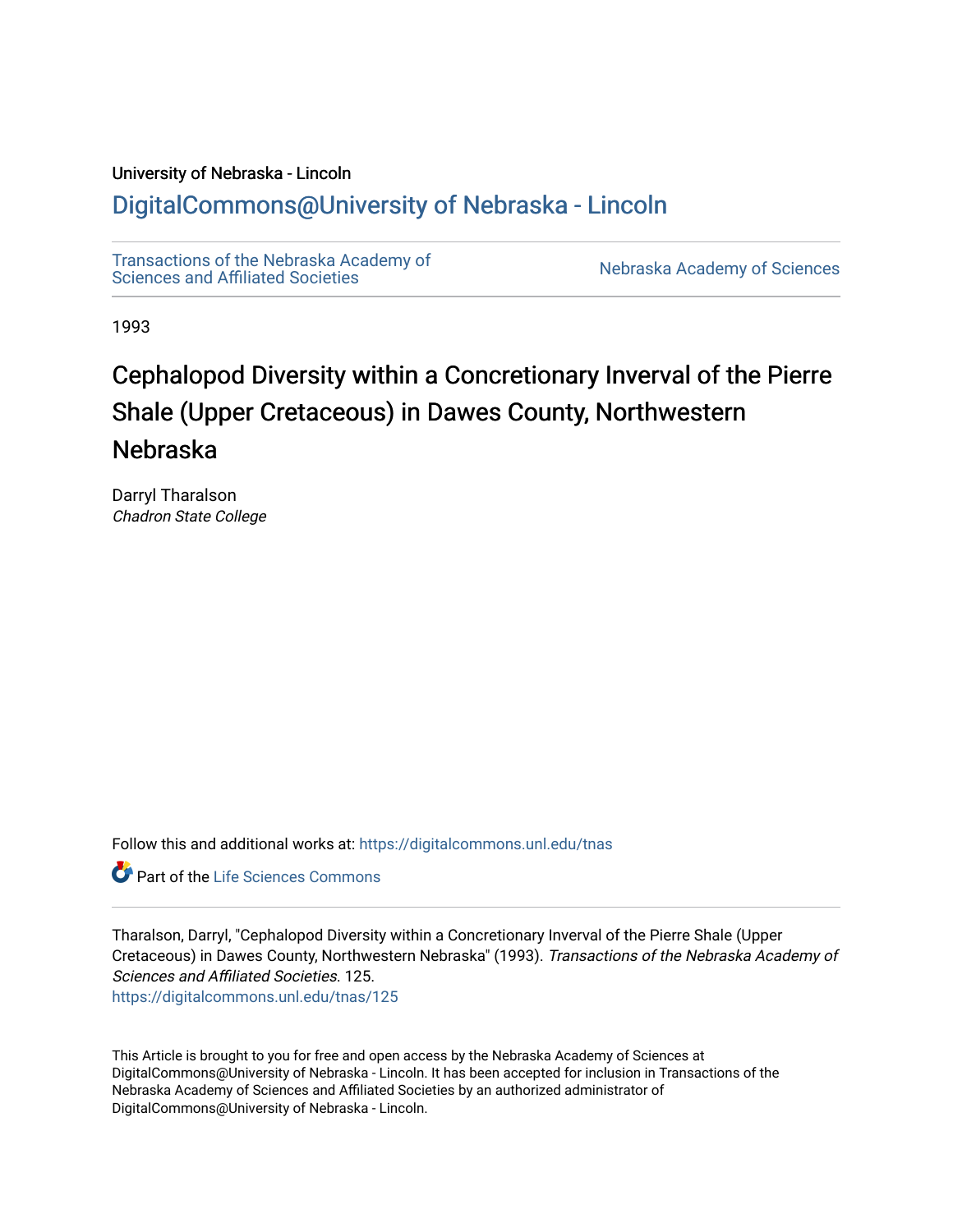# University of Nebraska - Lincoln

# [DigitalCommons@University of Nebraska - Lincoln](https://digitalcommons.unl.edu/)

[Transactions of the Nebraska Academy of](https://digitalcommons.unl.edu/tnas)  Transactions of the Nebraska Academy of Sciences<br>Sciences and Affiliated Societies

1993

# Cephalopod Diversity within a Concretionary Inverval of the Pierre Shale (Upper Cretaceous) in Dawes County, Northwestern Nebraska

Darryl Tharalson Chadron State College

Follow this and additional works at: [https://digitalcommons.unl.edu/tnas](https://digitalcommons.unl.edu/tnas?utm_source=digitalcommons.unl.edu%2Ftnas%2F125&utm_medium=PDF&utm_campaign=PDFCoverPages) 

**C** Part of the Life Sciences Commons

Tharalson, Darryl, "Cephalopod Diversity within a Concretionary Inverval of the Pierre Shale (Upper Cretaceous) in Dawes County, Northwestern Nebraska" (1993). Transactions of the Nebraska Academy of Sciences and Affiliated Societies. 125.

[https://digitalcommons.unl.edu/tnas/125](https://digitalcommons.unl.edu/tnas/125?utm_source=digitalcommons.unl.edu%2Ftnas%2F125&utm_medium=PDF&utm_campaign=PDFCoverPages) 

This Article is brought to you for free and open access by the Nebraska Academy of Sciences at DigitalCommons@University of Nebraska - Lincoln. It has been accepted for inclusion in Transactions of the Nebraska Academy of Sciences and Affiliated Societies by an authorized administrator of DigitalCommons@University of Nebraska - Lincoln.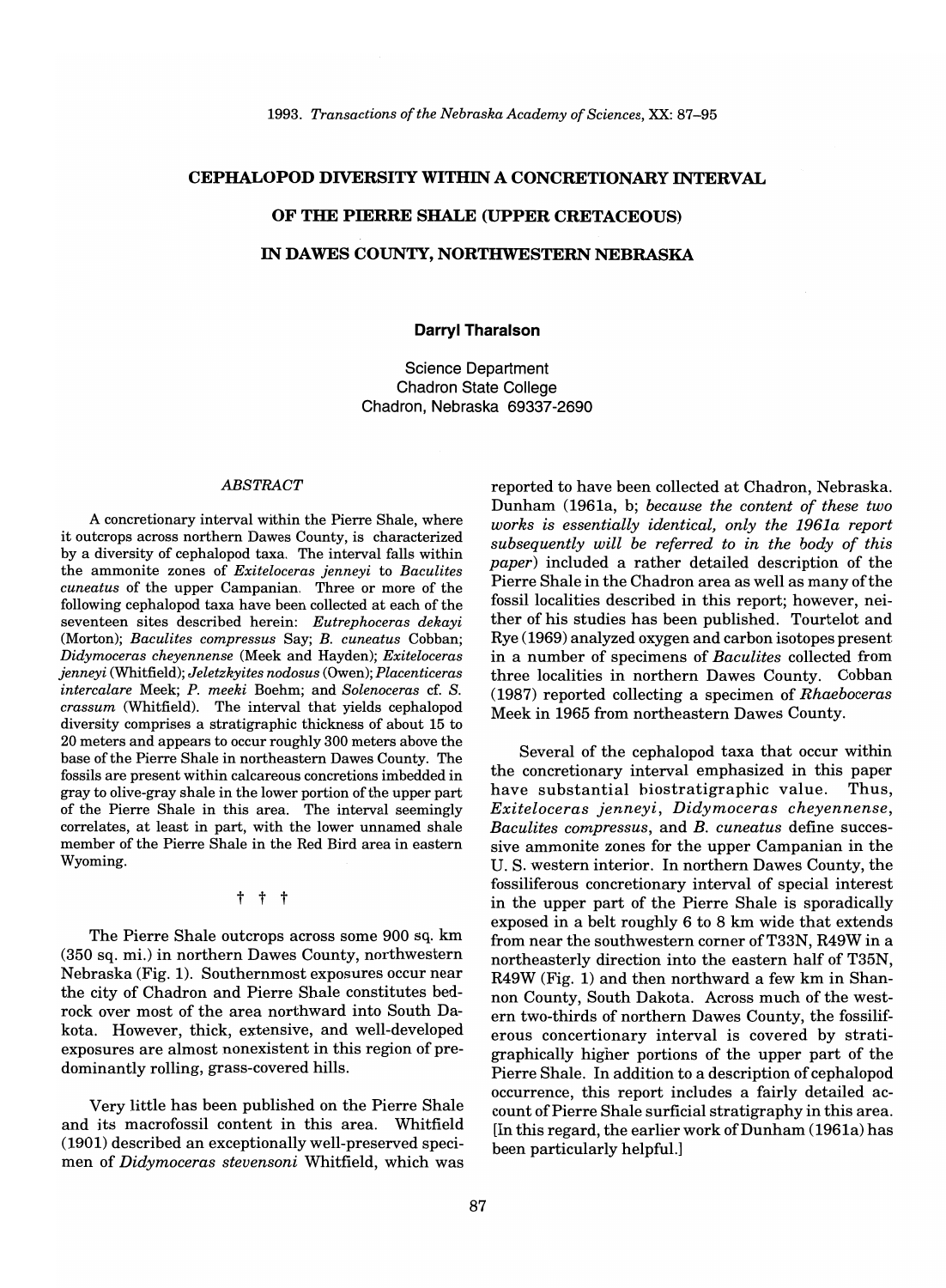# **CEPHALOPOD DIVERSITY WITHIN A CONCRETIONARY INTERVAL**

#### **OF THE PIERRE SHALE (UPPER CRETACEOUS)**

### **IN DAWES COUNTY, NORTHWESTERN NEBRASKA**

#### **Darryl Tharalson**

Science Department Chadron State College Chadron, Nebraska 69337-2690

#### *ABSTRACT*

A concretionary interval within the Pierre Shale, where it outcrops across northern Dawes County, is characterized by a diversity of cephalopod taxa. The interval falls within the ammonite zones of *Exiteloceras jenneyi* to *Baculites cuneatus* of the upper Campanian. Three or more of the following cephalopod taxa have been collected at each of the seventeen sites described herein: *Eutrephoceras dekayi*  (Morton); *Baculites compressus* Say; *B. cuneatus* Cobban; *Didymoceras cheyennense* (Meek and Hayden); *Exiteloceras jenneyi* (Whitfield); *Jeletzkyites nodosus* (Owen); *Placenticeras intercalare* Meek; *P. meeki* Boehm; and *Solenoceras* cf. S. *crassum* (Whitfield). The interval that yields cephalopod diversity comprises a stratigraphic thickness of about 15 to 20 meters and appears to occur roughly 300 meters above the base of the Pierre Shale in northeastern Dawes County. The fossils are present within calcareous concretions imbedded in gray to olive-gray shale in the lower portion of the upper part of the Pierre Shale in this area. The interval seemingly correlates, at least in part, with the lower unnamed shale member of the Pierre Shale in the Red Bird area in eastern Wyoming.

#### t t t

The Pierre Shale outcrops across some 900 sq. km (350 sq. mi.) in northern Dawes County, northwestern Nebraska (Fig. 1). Southernmost exposures occur near the city of Chadron and Pierre Shale constitutes bedrock over most of the area northward into South Dakota. However, thick, extensive, and well-developed exposures are almost nonexistent in this region of predominantly rolling, grass-covered hills.

Very little has been published on the Pierre Shale and its macrofossil content in this area. Whitfield (1901) described an exceptionally well-preserved specimen of *Didymoceras stevensoni* Whitfield, which was

reported to have been collected at Chadron, Nebraska. Dunham (1961a, b; *because the content of these two works is essentially identical, only the 1961a report subsequently will be referred to in the body of this paper)* included a rather detailed description of the Pierre Shale in the Chadron area as well as many of the fossil localities described in this report; however, neither of his studies has been published. Tourtelot and Rye (1969) analyzed oxygen and carbon isotopes present in a number of specimens of *Baculites* collected from three localities in northern Dawes County. Cobban (1987) reported collecting a specimen of *Rhaeboceras*  Meek in 1965 from northeastern Dawes County.

Several of the cephalopod taxa that occur within the concretionary interval emphasized in this paper have substantial biostratigraphic value. Thus, *Exiteloceras jenneyi, Didymoceras cheyennense, Baculites compressus,* and *B. cuneatus* define successive ammonite zones for the upper Campanian in the U. S. western interior. In northern Dawes County, the fossiliferous concretionary interval of special interest in the upper part of the Pierre Shale is sporadically exposed in a belt roughly 6 to 8 km wide that extends from near the southwestern corner of T33N, R49W in a northeasterly direction into the eastern half of T35N, R49W (Fig. 1) and then northward a few km in Shannon County, South Dakota. Across much of the western two-thirds of northern Dawes County, the fossiliferous concertionary interval is covered by stratigraphically higher portions of the upper part of the Pierre Shale. In addition to a description of cephalopod occurrence, this report includes a fairly detailed account of Pierre Shale surficial stratigraphy in this area. [In this regard, the earlier work of Dunham (1961a) has been particularly helpful.)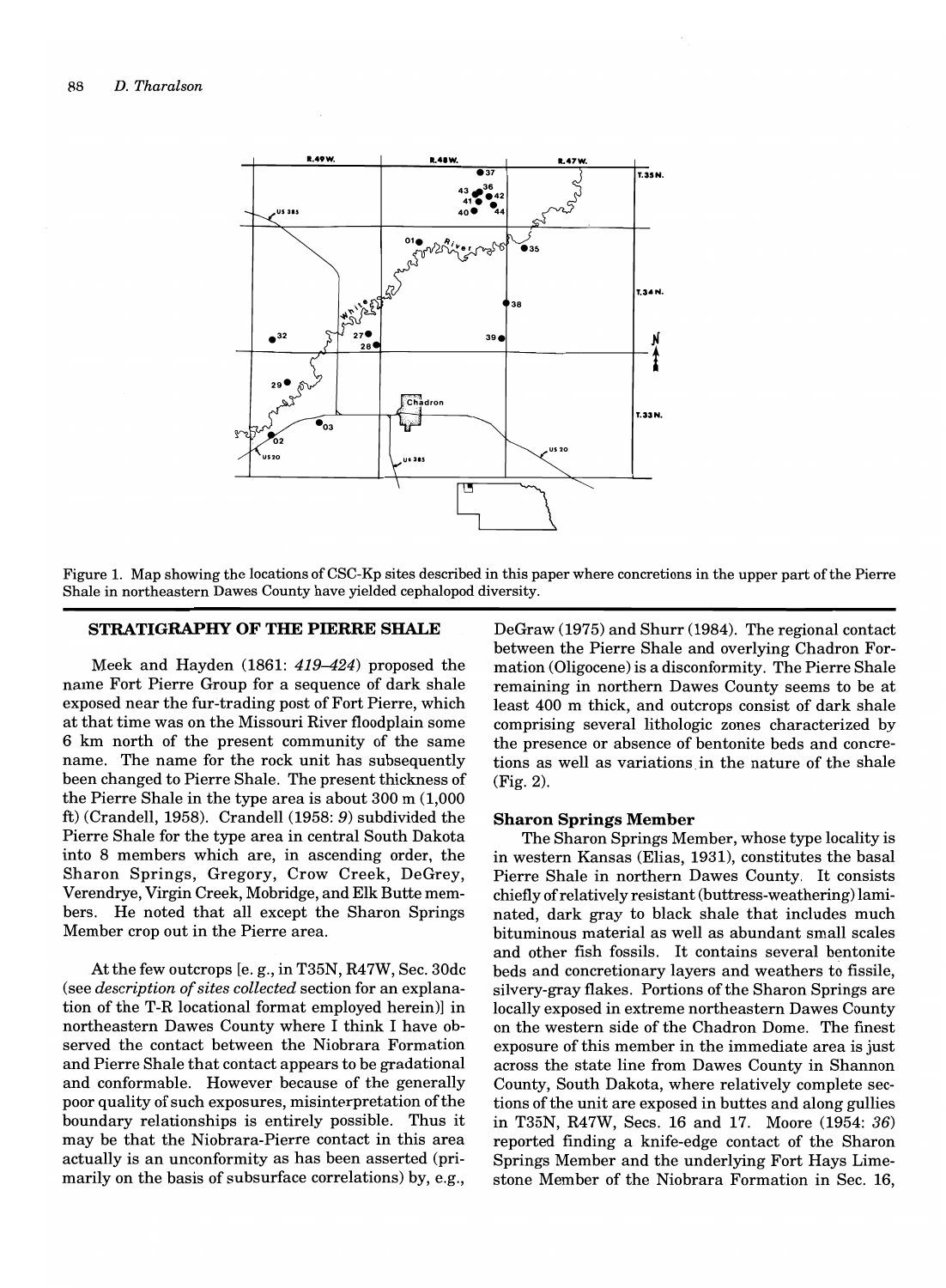

Figure 1. Map showing the locations of CSC-Kp sites described in this paper where concretions in the upper part of the Pierre Shale in northeastern Dawes County have yielded cephalopod diversity.

## STRATIGRAPHY OF THE PIERRE SHALE

Meek and Hayden (1861: 419-424) proposed the name Fort Pierre Group for a sequence of dark shale exposed near the fur-trading post of Fort Pierre, which at that time was on the Missouri River floodplain some 6 km north of the present community of the same name. The name for the rock unit has subsequently been changed to Pierre Shale. The present thickness of the Pierre Shale in the type area is about 300 m (1,000 ft) (Crandell, 1958). Crandell (1958: 9) subdivided the Pierre Shale for the type area in central South Dakota into 8 members which are, in ascending order, the Sharon Springs, Gregory, Crow Creek, DeGrey, Verendrye, Virgin Creek, Mobridge, and Elk Butte members. He noted that all except the Sharon Springs Member crop out in the Pierre area.

At the few outcrops [e. g., in T35N, R47W, Sec. 30dc (see *description of sites collected* section for an explanation of the T-R locational format employed herein)] in northeastern Dawes County where I think I have observed the contact between the Niobrara Formation and Pierre Shale that contact appears to be gradational and conformable. However because of the generally poor quality of such exposures, misinterpretation ofthe boundary relationships is entirely possible. Thus it may be that the Niobrara-Pierre contact in this area actually is an unconformity as has been asserted (primarily on the basis of subsurface correlations) by, e.g.,

DeGraw (1975) and Shurr (1984). The regional contact between the Pierre Shale and overlying Chadron Formation (Oligocene) is a disconformity. The Pierre Shale remaining in northern Dawes County seems to be at least 400 m thick, and outcrops consist of dark shale comprising several lithologic zones characterized by the presence or absence of bentonite beds and concretions as well as variations in the nature of the shale (Fig. 2).

#### Sharon Springs Member

The Sharon Springs Member, whose type locality is in western Kansas (Elias, 1931), constitutes the basal Pierre Shale in northern Dawes County. It consists chiefly of relatively resistant (buttress-weathering) laminated, dark gray to black shale that includes much bituminous material as well as abundant small scales and other fish fossils. It contains several bentonite beds and concretionary layers and weathers to fissile, silvery-gray flakes. Portions of the Sharon Springs are locally exposed in extreme northeastern Dawes County on the western side of the Chadron Dome. The finest exposure of this member in the immediate area is just across the state line from Dawes County in Shannon County, South Dakota, where relatively complete sections of the unit are exposed in buttes and along gullies in T35N, R47W, Secs. 16 and 17. Moore (1954: 36) reported finding a knife-edge contact of the Sharon Springs Member and the underlying Fort Hays Limestone Member of the Niobrara Formation in Sec. 16,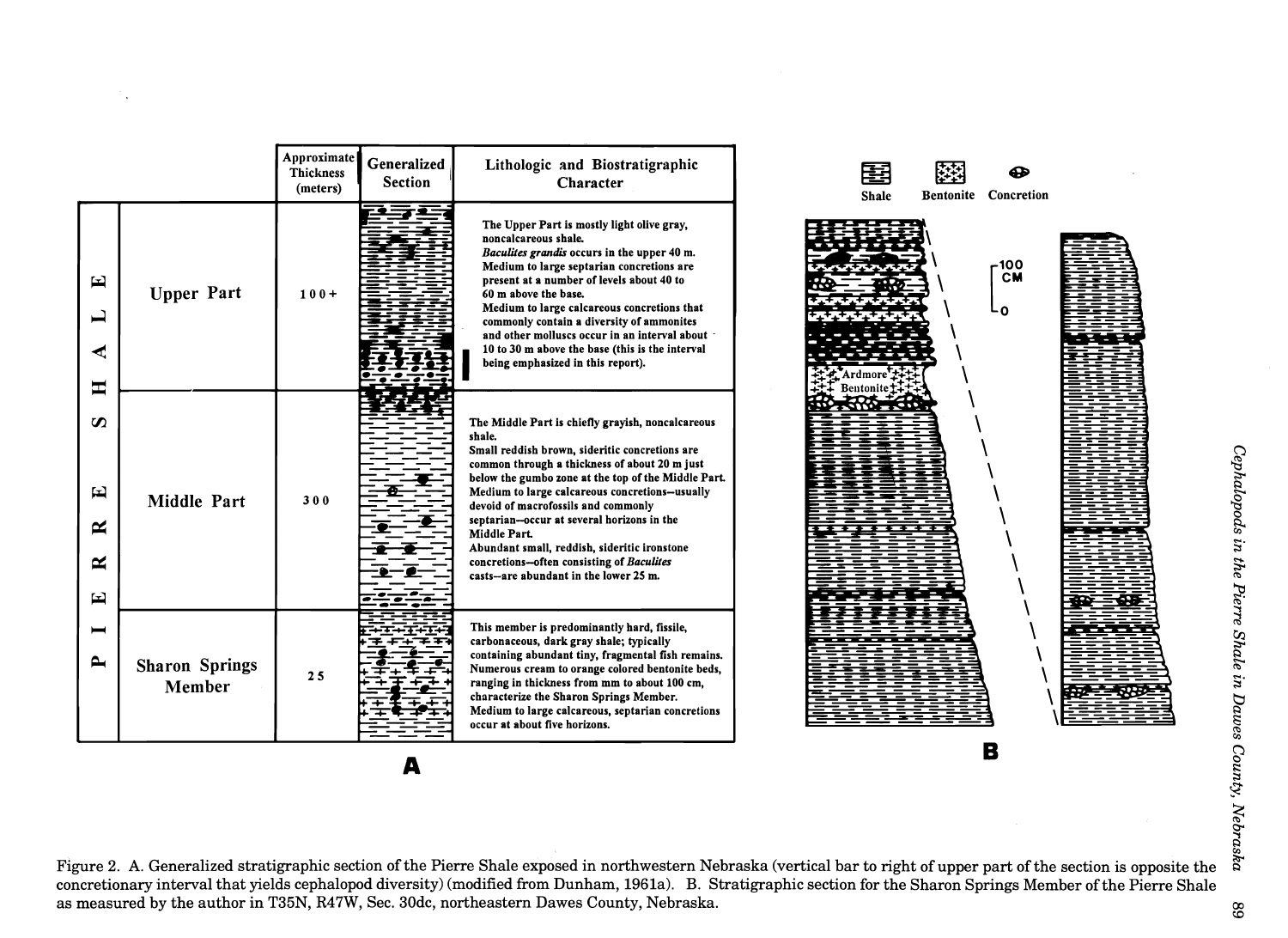|                                           |                                 | Approximate<br>Thickness<br>(meters) | Generalized<br><b>Section</b> | Lithologic and Biostratigraphic<br>Character                                                                                                                                                                                                                                                                                                                                                                                                                                                                         | <b>Bentonite</b> Concretion<br><b>Shale</b> |
|-------------------------------------------|---------------------------------|--------------------------------------|-------------------------------|----------------------------------------------------------------------------------------------------------------------------------------------------------------------------------------------------------------------------------------------------------------------------------------------------------------------------------------------------------------------------------------------------------------------------------------------------------------------------------------------------------------------|---------------------------------------------|
| 囯<br>ڀ<br>ᆂ                               | <b>Upper Part</b>               | $100+$                               |                               | The Upper Part is mostly light olive gray,<br>noncalcareous shale.<br>Baculites grandis occurs in the upper 40 m.<br>Medium to large septarian concretions are<br>present at a number of levels about 40 to<br>60 m above the base.<br>Medium to large calcareous concretions that<br>commonly contain a diversity of ammonites<br>and other molluscs occur in an interval about .<br>10 to 30 m above the base (this is the interval<br>being emphasized in this report).                                           | -100<br><b>CM</b><br>O                      |
| $\boldsymbol{\omega}$<br>뇌<br>≃<br>≃<br>国 | <b>Middle Part</b>              | 300                                  |                               | The Middle Part is chiefly grayish, noncalcareous<br>shale.<br>Small reddish brown, sideritic concretions are<br>common through a thickness of about 20 m just<br>below the gumbo zone at the top of the Middle Part.<br>Medium to large calcareous concretions--usually<br>devoid of macrofossils and commonly<br>septarian--occur at several horizons in the<br>Middle Part.<br>Abundant small, reddish, sideritic ironstone<br>concretions-often consisting of Baculites<br>casts-are abundant in the lower 25 m. | <b>Bentonite</b>                            |
| ▬<br>$\blacktriangle$                     | <b>Sharon Springs</b><br>Member | 25                                   |                               | This member is predominantly hard, fissile,<br>carbonaceous, dark gray shale; typically<br>containing abundant tiny, fragmental fish remains.<br>Numerous cream to orange colored bentonite beds,<br>ranging in thickness from mm to about 100 cm,<br>characterize the Sharon Springs Member.<br>Medium to large calcareous, septarian concretions<br>occur at about five horizons.                                                                                                                                  |                                             |

A

C')

Figure 2. A. Generalized stratigraphic section of the Pierre Shale exposed in northwestern Nebraska (vertical bar to right of upper part ofthe section is opposite the concretionary interval that yields cephalopod diversity) (modified from Dunham, 1961a). B. Stratigraphic section for the Sharon Springs Member of the Pierre Shale as measured by the author in T35N, R47W, Sec. 30dc, northeastern Dawes County, Nebraska.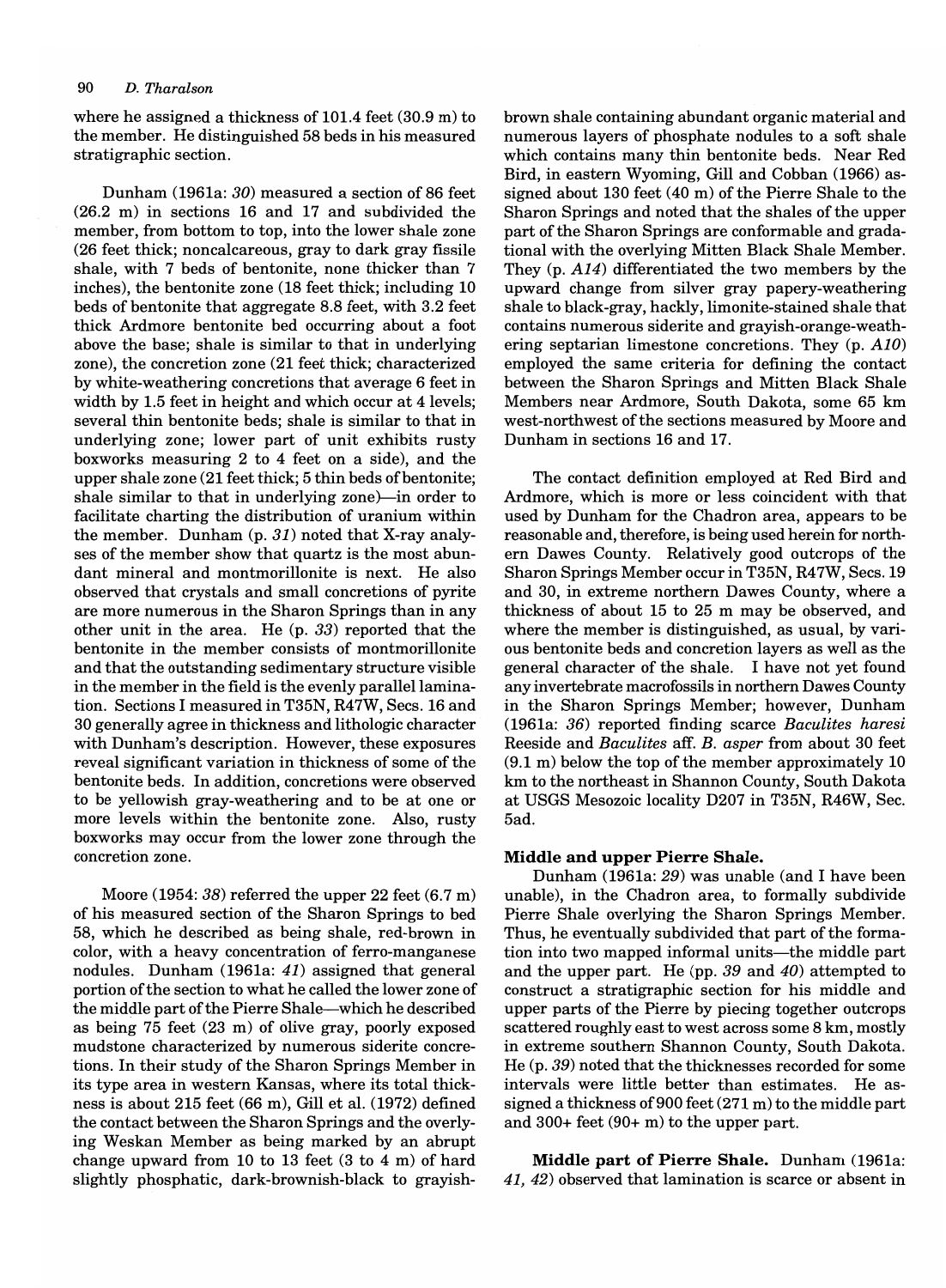#### 90 D. *Tharalson*

where he assigned a thickness of 101.4 feet (30.9 m) to the member. He distinguished 58 beds in his measured stratigraphic section.

Dunham (1961a: 30) measured a section of 86 feet (26.2 m) in sections 16 and 17 and subdivided the member, from bottom to top, into the lower shale zone (26 feet thick; noncalcareous, gray to dark gray fissile shale, with 7 beds of bentonite, none thicker than 7 inches), the bentonite zone (18 feet thick; including 10 beds of bentonite that aggregate 8.8 feet, with 3.2 feet thick Ardmore bentonite bed occurring about a foot above the base; shale is similar to that in underlying zone), the concretion zone (21 feet thick; characterized by white-weathering concretions that average 6 feet in width by 1.5 feet in height and which occur at 4 levels; several thin bentonite beds; shale is similar to that in underlying zone; lower part of unit exhibits rusty boxworks measuring 2 to 4 feet on a side), and the upper shale zone (21 feet thick; 5 thin beds of bentonite; shale similar to that in underlying zone)—in order to facilitate charting the distribution of uranium within the member. Dunham (p. 31) noted that X-ray analyses of the member show that quartz is the most abundant mineral and montmorillonite is next. He also observed that crystals and small concretions of pyrite are more numerous in the Sharon Springs than in any other unit in the area. He (p. 33) reported that the bentonite in the member consists of montmorillonite and that the outstanding sedimentary structure visible in the member in the field is the evenly parallel lamination. Sections I measured in T35N, R47W, Secs. 16 and 30 generally agree in thickness and lithologic character with Dunham's description. However, these exposures reveal significant variation in thickness of some of the bentonite beds. In addition, concretions were observed to be yellowish gray-weathering and to be at one or more levels within the bentonite zone. Also, rusty boxworks may occur from the lower zone through the concretion zone.

Moore (1954: 38) referred the upper 22 feet (6.7 m) of his measured section of the Sharon Springs to bed 58, which he described as being shale, red-brown in color, with a heavy concentration of ferro-manganese nodules. Dunham (1961a: 41) assigned that general portion of the section to what he called the lower zone of the middle part of the Pierre Shale-which he described as being 75 feet (23 m) of olive gray, poorly exposed mudstone characterized by numerous siderite concretions. In their study of the Sharon Springs Member in its type area in western Kansas, where its total thickness is about 215 feet (66 m), Gill et al. (1972) defined the contact between the Sharon Springs and the overlying Weskan Member as being marked by an abrupt change upward from 10 to 13 feet (3 to 4 m) of hard slightly phosphatic, dark-brownish-black to grayishbrown shale containing abundant organic material and numerous layers of phosphate nodules to a soft shale which contains many thin bentonite beds. Near Red Bird, in eastern Wyoming, Gill and Cobban (1966) assigned about 130 feet  $(40 \text{ m})$  of the Pierre Shale to the Sharon Springs and noted that the shales of the upper part of the Sharon Springs are conformable and gradational with the overlying Mitten Black Shale Member. They (p. A14) differentiated the two members by the upward change from silver gray papery-weathering shale to black-gray, hackly, limonite-stained shale that contains numerous siderite and grayish-orange-weathering septarian limestone concretions. They (p. A10) employed the same criteria for defining the contact between the Sharon Springs and Mitten Black Shale Members near Ardmore, South Dakota, some 65 km west-northwest of the sections measured by Moore and Dunham in sections 16 and 17.

The contact definition employed at Red Bird and Ardmore, which is more or less coincident with that used by Dunham for the Chadron area, appears to be reasonable and, therefore, is being used herein for northern Dawes County. Relatively good outcrops of the Sharon Springs Member occur in T35N, R47W, Secs. 19 and 30, in extreme northern Dawes County, where a thickness of about 15 to 25 m may be observed, and where the member is distinguished, as usual, by various bentonite beds and concretion layers as well as the general character of the shale. I have not yet found any invertebrate macrofossils in northern Dawes County in the Sharon Springs Member; however, Dunham (1961a: 36) reported finding scarce *Baculites haresi*  Reeside and *Baculites* aff. B. asper from about 30 feet (9.1 m) below the top of the member approximately 10 km to the northeast in Shannon County, South Dakota at USGS Mesozoic locality D207 in T35N, R46W, Sec. 5ad.

#### Middle and upper Pierre Shale.

Dunham (1961a: 29) was unable (and I have been unable), in the Chadron area, to formally subdivide Pierre Shale overlying the Sharon Springs Member. Thus, he eventually subdivided that part of the formation into two mapped informal units—the middle part and the upper part. He (pp. 39 and 40) attempted to construct a stratigraphic section for his middle and upper parts of the Pierre by piecing together outcrops scattered roughly east to west across some 8 km, mostly in extreme southern Shannon County, South Dakota. He (p. 39) noted that the thicknesses recorded for some intervals were little better than estimates. He assigned a thickness of 900 feet (271 m) to the middle part and 300+ feet (90+ m) to the upper part.

Middle part of Pierre Shale. Dunham (1961a: 41, 42) observed that lamination is scarce or absent in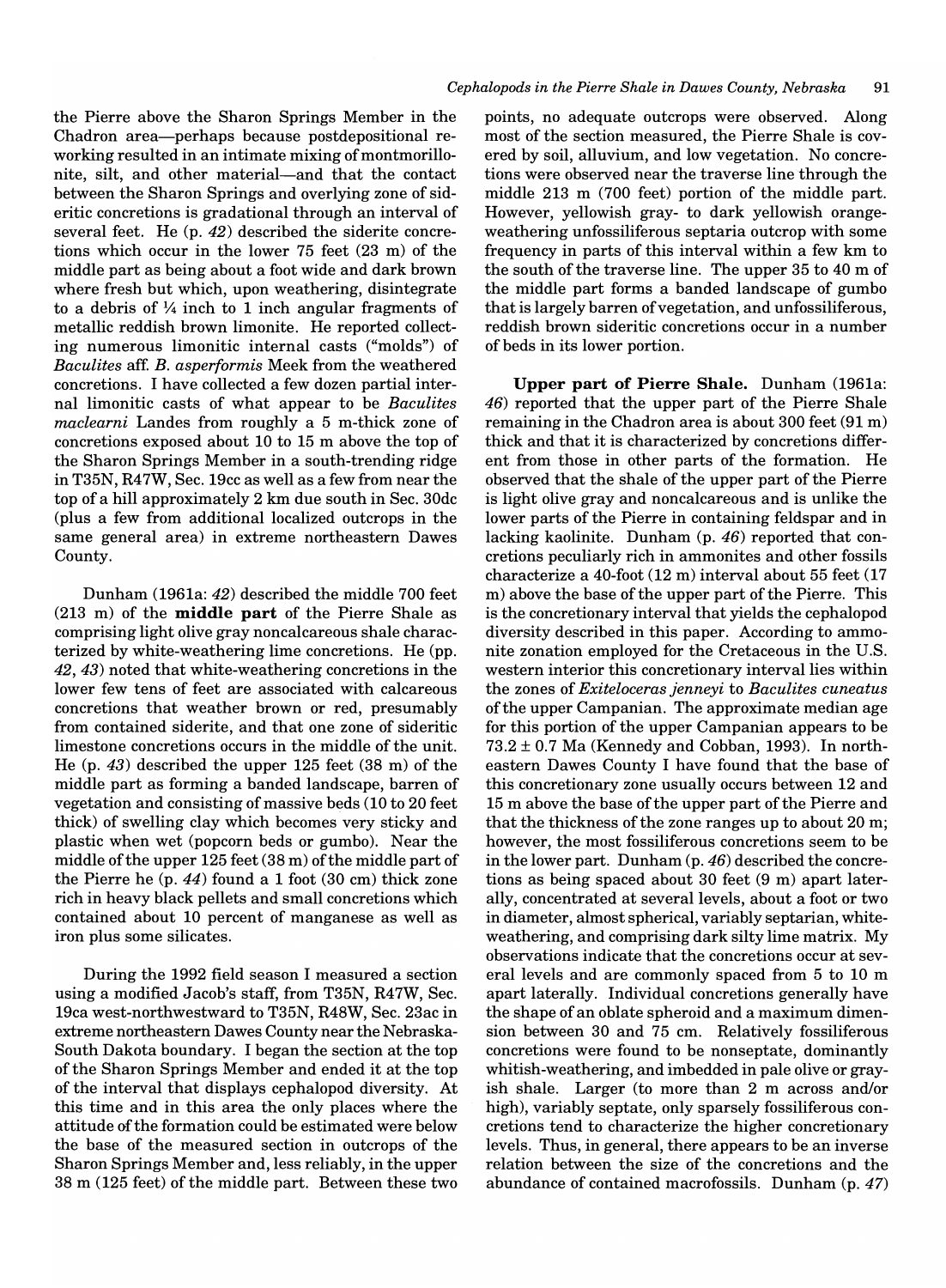the Pierre above the Sharon Springs Member in the Chadron area-perhaps because postdepositional reworking resulted in an intimate mixing of montmorillonite, silt, and other material—and that the contact between the Sharon Springs and overlying zone of sideritic concretions is gradational through an interval of several feet. He (p. 42) described the siderite concretions which occur in the lower 75 feet (23 m) of the middle part as being about a foot wide and dark brown where fresh but which, upon weathering, disintegrate to a debris of  $\frac{1}{4}$  inch to 1 inch angular fragments of metallic reddish brown limonite. He reported collecting numerous limonitic internal casts ("molds") of *Baculites* aff. B. *asperformis* Meek from the weathered concretions. I have collected a few dozen partial internal limonitic casts of what appear to be *Baculites maclearni* Landes from roughly a 5 m-thick zone of concretions exposed about 10 to 15 m above the top of the Sharon Springs Member in a south-trending ridge in T35N, R4 7W, Sec. 19cc as well as a few from near the top of a hill approximately 2 km due south in Sec. 30dc (plus a few from additional localized outcrops in the same general area) in extreme northeastern Dawes County.

Dunham (1961a: 42) described the middle 700 feet (213 m) of the **middle part** of the Pierre Shale as comprising light olive gray noncalcareous shale characterized by white-weathering lime concretions. He (pp. 42,43) noted that white-weathering concretions in the lower few tens of feet are associated with calcareous concretions that weather brown or red, presumably from contained siderite, and that one zone of sideritic limestone concretions occurs in the middle of the unit. He (p. 43) described the upper 125 feet (38 m) of the middle part as forming a banded landscape, barren of vegetation and consisting of massive beds (10 to 20 feet thick) of swelling clay which becomes very sticky and plastic when wet (popcorn beds or gumbo). Near the middle of the upper 125 feet (38 m) of the middle part of the Pierre he (p. 44) found a 1 foot (30 cm) thick zone rich in heavy black pellets and small concretions which contained about 10 percent of manganese as well as iron plus some silicates.

During the 1992 field season I measured a section using a modified Jacob's staff, from T35N, R47W, Sec. 19ca west-northwestward to T35N, R48W, Sec. 23ac in extreme northeastern Dawes County near the Nebraska-South Dakota boundary. I began the section at the top of the Sharon Springs Member and ended it at the top of the interval that displays cephalopod diversity. At this time and in this area the only places where the attitude of the formation could be estimated were below the base of the measured section in outcrops of the Sharon Springs Member and, less reliably, in the upper 38 m (125 feet) of the middle part. Between these two

points, no adequate outcrops were observed. Along most of the section measured, the Pierre Shale is covered by soil, alluvium, and low vegetation. No concretions were observed near the traverse line through the middle 213 m (700 feet) portion of the middle part. However, yellowish gray- to dark yellowish orangeweathering unfossiliferous septaria outcrop with some frequency in parts of this interval within a few km to the south of the traverse line. The upper 35 to 40 m of the middle part forms a banded landscape of gumbo that is largely barren of vegetation, and unfossiliferous, reddish brown sideritic concretions occur in a number of beds in its lower portion.

**Upper part of Pierre Shale.** Dunham (1961a: 46) reported that the upper part of the Pierre Shale remaining in the Chadron area is about 300 feet (91 m) thick and that it is characterized by concretions different from those in other parts of the formation. He observed that the shale of the upper part of the Pierre is light olive gray and noncalcareous and is unlike the lower parts of the Pierre in containing feldspar and in lacking kaolinite. Dunham (p. 46) reported that concretions peculiarly rich in ammonites and other fossils characterize a 40-foot (12 m) interval about 55 feet (17 m) above the base of the upper part of the Pierre. This is the concretionary interval that yields the cephalopod diversity described in this paper. According to ammonite zonation employed for the Cretaceous in the U.S. western interior this concretionary interval lies within the zones of *Exiteloceras jenneyi* to *Baculites cuneatus*  ofthe upper Campanian. The approximate median age for this portion of the upper Campanian appears to be  $73.2 \pm 0.7$  Ma (Kennedy and Cobban, 1993). In northeastern Dawes County I have found that the base of this concretionary zone usually occurs between 12 and 15 m above the base of the upper part of the Pierre and that the thickness of the zone ranges up to about 20 m; however, the most fossiliferous concretions seem to be in the lower part. Dunham (p. 46) described the concretions as being spaced about 30 feet (9 m) apart laterally, concentrated at several levels, about a foot or two in diameter, almost spherical, variably septarian, whiteweathering, and comprising dark silty lime matrix. My observations indicate that the concretions occur at several levels and are commonly spaced from 5 to 10 m apart laterally. Individual concretions generally have the shape of an oblate spheroid and a maximum dimension between 30 and 75 cm. Relatively fossiliferous concretions were found to be nonseptate, dominantly whitish-weathering, and imbedded in pale olive or grayish shale. Larger (to more than 2 m across and/or high), variably septate, only sparsely fossiliferous concretions tend to characterize the higher concretionary levels. Thus, in general, there appears to be an inverse relation between the size of the concretions and the abundance of contained macrofossils. Dunham (p. 47)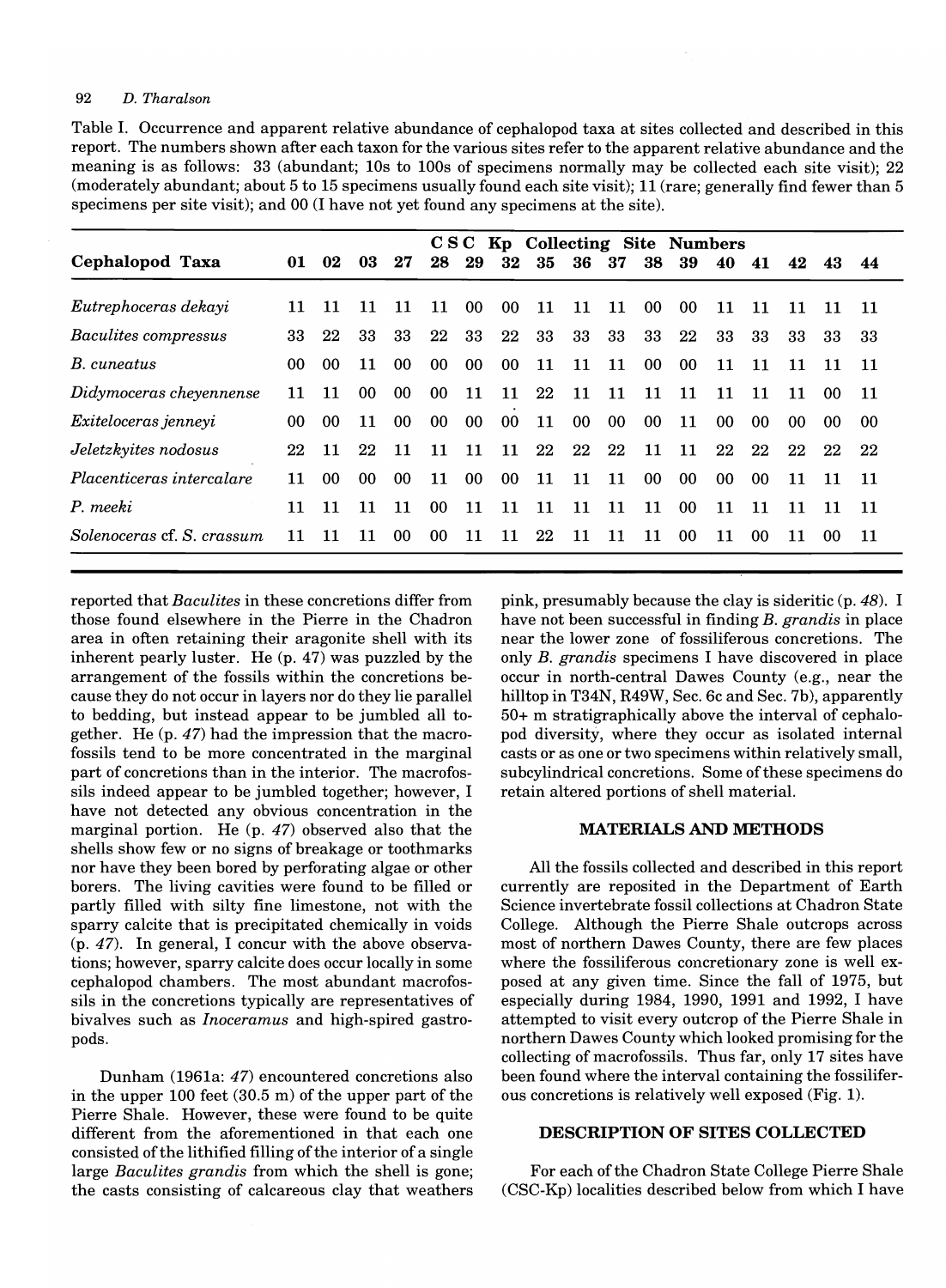#### 92 *D. Tharalson*

Table I. Occurrence and apparent relative abundance of cephalopod taxa at sites collected and described in this report. The numbers shown after each taxon for the various sites refer to the apparent relative abundance and the meaning is as follows: 33 (abundant; lOs to 100s of specimens normally may be collected each site visit); 22 (moderately abundant; about 5 to 15 specimens usually found each site visit); 11 (rare; generally find fewer than 5 specimens per site visit); and 00 (I have not yet found any specimens at the site).

| C S C<br>Kp Collecting Site Numbers |     |                 |                 |                 |                 |                 |                 |     |        |     |                 |                 |                 |    |    |     |     |
|-------------------------------------|-----|-----------------|-----------------|-----------------|-----------------|-----------------|-----------------|-----|--------|-----|-----------------|-----------------|-----------------|----|----|-----|-----|
| Cephalopod Taxa                     | 01  | 02              | 03              | 27              | 28              | 29              | 32              | -35 | 36     | -37 | 38              | 39              | 40              | 41 | 42 | 43  | 44  |
| Eutrephoceras dekayi                | 11. | 11              | 11              | 11              | 11              | -00             | 00 <sup>°</sup> | 11  | 11     | 11  | 00              | 00              | 11              | 11 | 11 | 11  | -11 |
| Baculites compressus                | 33  | 22              | 33              | 33              | 22              | 33              | 22              | 33  | 33     | 33  | 33              | 22              | 33              | 33 | 33 | 33  | 33  |
| B. cuneatus                         | 00. | 00 <sup>1</sup> | 11              | 00 <sup>°</sup> | 00 <sup>1</sup> | 00 <sup>°</sup> | 00 <sup>°</sup> | 11  | 11     | 11  | 00              | 00 <sup>°</sup> | 11              | 11 | 11 | 11  | 11  |
| Didymoceras cheyennense             | 11  | 11              | 00 <sup>°</sup> | 00              | 00              | 11              | 11              | 22  | 11     | 11  | 11              | 11              | 11              | 11 | 11 | -00 | 11  |
| Exiteloceras jenneyi                | 00  | -00             | 11              | 00 <sup>°</sup> | 00 <sup>°</sup> | 00 <sup>°</sup> | 00 <sup>°</sup> | 11  | $00\,$ | 00  | 00 <sup>°</sup> | 11              | 00              | 00 | 00 | -00 | 00  |
| Jeletzkyites nodosus                | 22  | 11              | 22              | 11              | 11              | 11              | 11              | 22  | 22     | 22  | 11              | 11              | 22              | 22 | 22 | 22  | 22  |
| Placenticeras intercalare           | 11  | 00              | -00             | 00              | 11              | $00\,$          | 00 <sup>°</sup> | 11  | 11     | 11  | 00 <sup>°</sup> | 00 <sup>°</sup> | 00 <sup>°</sup> | 00 | 11 | 11  | 11  |
| P. meeki                            | 11  | 11              | 11              | 11              | 00 <sup>1</sup> | 11              | 11              | 11  | 11     | 11  | 11              | 00              | 11              | 11 | 11 | 11  | 11  |
| Solenoceras cf. S. crassum          | 11  | 11              | 11              | 00 <sup>°</sup> | 00 <sup>°</sup> | 11              | 11              | 22  | 11     | 11  | 11              | $00 \,$         | 11              | 00 | 11 | -00 | 11  |

reported that *Baculites* in these concretions differ from those found elsewhere in the Pierre in the Chadron area in often retaining their aragonite shell with its inherent pearly luster. He (p. 47) was puzzled by the arrangement of the fossils within the concretions because they do not occur in layers nor do they lie parallel to bedding, but instead appear to be jumbled all together. He (p. 47) had the impression that the macrofossils tend to be more concentrated in the marginal part of concretions than in the interior. The macrofossils indeed appear to be jumbled together; however, I have not detected any obvious concentration in the marginal portion. He (p. 47) observed also that the shells show few or no signs of breakage or toothmarks nor have they been bored by perforating algae or other borers. The living cavities were found to be filled or partly filled with silty fine limestone, not with the sparry calcite that is precipitated chemically in voids (p. 47). In general, I concur with the above observations; however, sparry calcite does occur locally in some cephalopod chambers. The most abundant macrofossils in the concretions typically are representatives of bivalves such as *Inoceramus* and high-spired gastropods.

Dunham (1961a: 47) encountered concretions also in the upper 100 feet (30.5 m) of the upper part of the Pierre Shale. However, these were found to be quite different from the aforementioned in that each one consisted of the lithified filling of the interior of a single large *Baculites grandis* from which the shell is gone; the casts consisting of calcareous clay that weathers pink, presumably because the clay is sideritic (p. 48). I have not been successful in finding *B. grandis* in place near the lower zone of fossiliferous concretions. The only *B. grandis* specimens I have discovered in place occur in north-central Dawes County (e.g., near the hilltop in T34N, R49W, Sec. 6c and Sec. 7b), apparently 50+ m stratigraphically above the interval of cephalopod diversity, where they occur as isolated internal casts or as one or two specimens within relatively small, subcylindrical concretions. Some of these specimens do retain altered portions of shell material.

#### MATERIALS AND METHODS

All the fossils collected and described in this report currently are reposited in the Department of Earth Science invertebrate fossil collections at Chadron State College. Although the Pierre Shale outcrops across most of northern Dawes County, there are few places where the fossiliferous concretionary zone is well exposed at any given time. Since the fall of 1975, but especially during 1984, 1990, 1991 and 1992, I have attempted to visit every outcrop of the Pierre Shale in northern Dawes County which looked promising for the collecting of macrofossils. Thus far, only 17 sites have been found where the interval containing the fossiliferous concretions is relatively well exposed (Fig. 1).

#### DESCRIPTION OF SITES COLLECTED

For each of the Chadron State College Pierre Shale (CSC-Kp) localities described below from which I have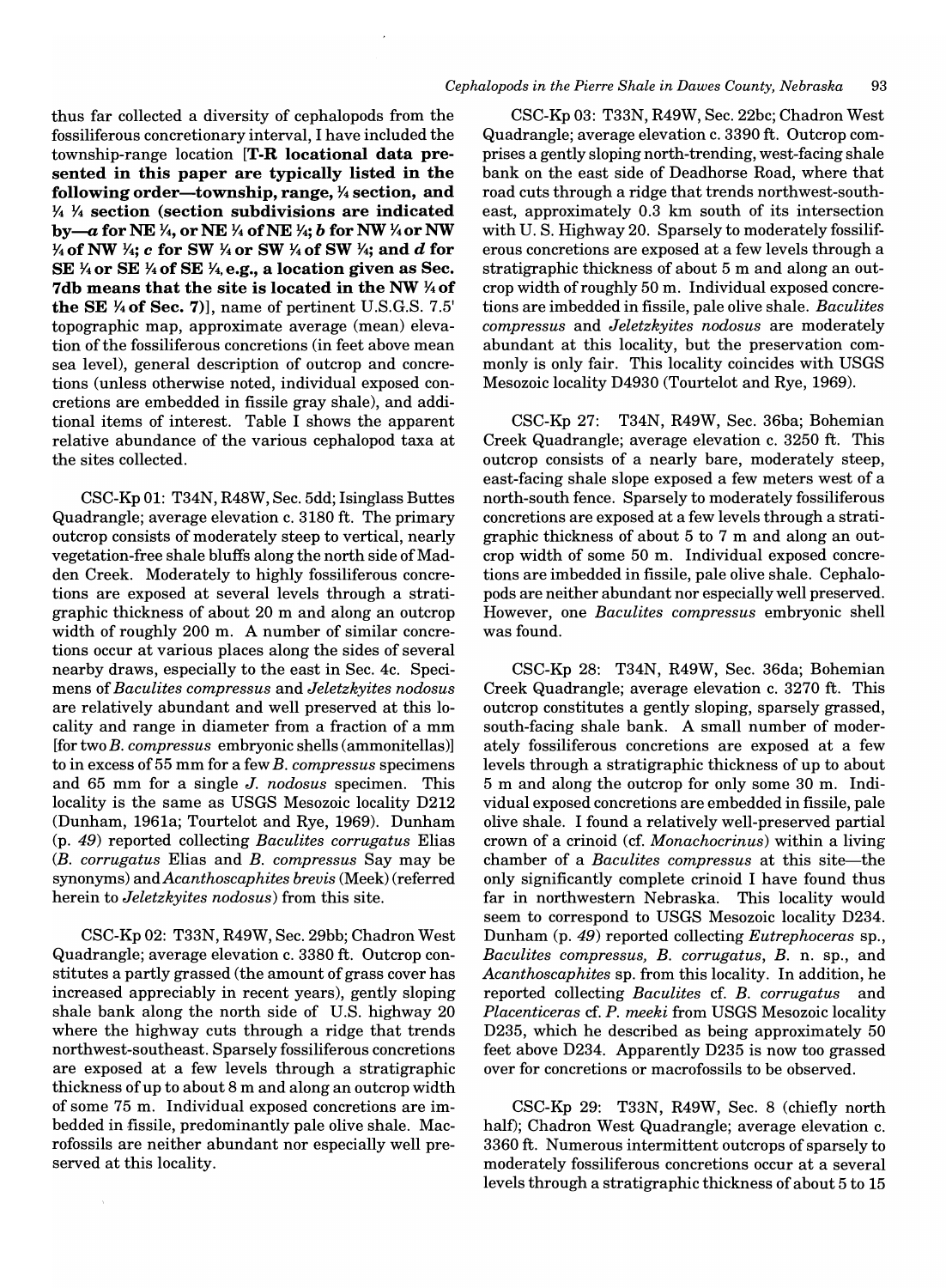#### *Cephalopods in the Pierre Shale in Dawes County, Nebraska 93*

thus far collected a diversity of cephalopods from the fossiliferous concretionary interval, I have included the township-range location [T-R locational data presented in this paper are typically listed in the following order-township, range,  $\frac{1}{4}$  section, and *Y. Y.* section (section subdivisions are indicated by-a for NE <sup>*Y*4</sup>, or NE <sup>*Y*4</sup> of NE *Y*<sub>4</sub>; *b* for NW <sup>*Y*<sub>4</sub></sup> or NW *Y*<sub>4</sub> of NW *Y*<sub>4</sub>; *c* for SW *Y*<sub>4</sub> or SW *Y*<sub>4</sub> of SW *Y*<sub>4</sub>; and *d* for SE *Y.* or SE *Y.* of SE *Y.,* e.g., a location given as Sec. 7db means that the site is located in the NW *Y.* of the SE  $\frac{1}{4}$  of Sec. 7)], name of pertinent U.S.G.S. 7.5' topographic map, approximate average (mean) elevation of the fossiliferous concretions (in feet above mean sea level), general description of outcrop and concretions (unless otherwise noted, individual exposed concretions are embedded in fissile gray shale), and additional items of interest. Table I shows the apparent relative abundance of the various cephalopod taxa at the sites collected.

CSC-Kp 01: T34N, R48W, Sec. 5dd; Isinglass Buttes Quadrangle; average elevation c. 3180 ft. The primary outcrop consists of moderately steep to vertical, nearly vegetation-free shale bluffs along the north side of Madden Creek. Moderately to highly fossiliferous concretions are exposed at several levels through a stratigraphic thickness of about 20 m and along an outcrop width of roughly 200 m. A number of similar concretions occur at various places along the sides of several nearby draws, especially to the east in Sec. 4c. Specimens of *Baculites compressus* and *Jeletzkyites nodosus*  are relatively abundant and well preserved at this locality and range in diameter from a fraction of a mm [for two *B. compressus* embryonic shells (ammonitellas)] to in excess of 55 mm for a few *B. compressus* specimens and 65 mm for a single *J. nodosus* specimen. This locality is the same as USGS Mesozoic locality D212 (Dunham, 1961a; Tourtelot and Rye, 1969). Dunham (p. 49) reported collecting *Baculites corrugatus* Elias *(B. corrugatus Elias and B. compressus Say may be* synonyms) *andAcanthoscaphites brevis* (Meek) (referred herein to *Jeletzkyites nodosus)* from this site.

CSC-Kp 02: T33N, R49W, Sec. 29bb; Chadron West Quadrangle; average elevation c. 3380 ft. Outcrop constitutes a partly grassed (the amount of grass cover has increased appreciably in recent years), gently sloping shale bank along the north side of U.S. highway 20 where the highway cuts through a ridge that trends northwest-southeast. Sparsely fossiliferous concretions are exposed at a few levels through a stratigraphic thickness of up to about 8 m and along an outcrop width of some 75 m. Individual exposed concretions are imbedded in fissile, predominantly pale olive shale. Macrofossils are neither abundant nor especially well preserved at this locality.

CSC-Kp 03: T33N, R49W, Sec. 22bc; Chadron West Quadrangle; average elevation c. 3390 ft. Outcrop comprises a gently sloping north-trending, west-facing shale bank on the east side of Deadhorse Road, where that road cuts through a ridge that trends northwest-southeast, approximately 0.3 km south of its intersection with U. S. Highway 20. Sparsely to moderately fossiliferous concretions are exposed at a few levels through a stratigraphic thickness of about 5 m and along an outcrop width of roughly 50 m. Individual exposed concretions are imbedded in fissile, pale olive shale. *Baculites compress us* and *Jeletzkyites nodosus* are moderately abundant at this locality, but the preservation commonly is only fair. This locality coincides with USGS Mesozoic locality D4930 (Tourtelot and Rye, 1969).

CSC-Kp 27: T34N, R49W, Sec. 36ba; Bohemian Creek Quadrangle; average elevation c. 3250 ft. This outcrop consists of a nearly bare, moderately steep, east-facing shale slope exposed a few meters west of a north-south fence. Sparsely to moderately fossiliferous concretions are exposed at a few levels through a stratigraphic thickness of about 5 to 7 m and along an outcrop width of some 50 m. Individual exposed concretions are imbedded in fissile, pale olive shale. Cephalopods are neither abundant nor especially well preserved. However, one *Baculites compressus* embryonic shell was found.

CSC-Kp 28: T34N, R49W, Sec. 36da; Bohemian Creek Quadrangle; average elevation c. 3270 ft. This outcrop constitutes a gently sloping, sparsely grassed, south-facing shale bank. A small number of moderately fossiliferous concretions are exposed at a few levels through a stratigraphic thickness of up to about 5 m and along the outcrop for only some 30 m. Individual exposed concretions are embedded in fissile, pale olive shale. I found a relatively well-preserved partial crown of a crinoid (cf. *Monachocrinus)* within a living chamber of a *Baculites compressus* at this site-the only significantly complete crinoid I have found thus far in northwestern Nebraska. This locality would seem to correspond to USGS Mesozoic locality D234. Dunham (p. 49) reported collecting *Eutrephoceras* sp., *Baculites compressus, B. corrugatus, B.* n. sp., and *Acanthoscaphites* sp. from this locality. In addition, he reported collecting *Baculites* cf. *B. corrugatus* and *Placenticeras* cf. *P. meeki* from USGS Mesozoic locality D235, which he described as being approximately 50 feet above D234. Apparently D235 is now too grassed over for concretions or macrofossils to be observed.

CSC-Kp 29: T33N, R49W, Sec. 8 (chiefly north half); Chadron West Quadrangle; average elevation c. 3360 ft. Numerous intermittent outcrops of sparsely to moderately fossiliferous concretions occur at a several levels through a stratigraphic thickness of about 5 to 15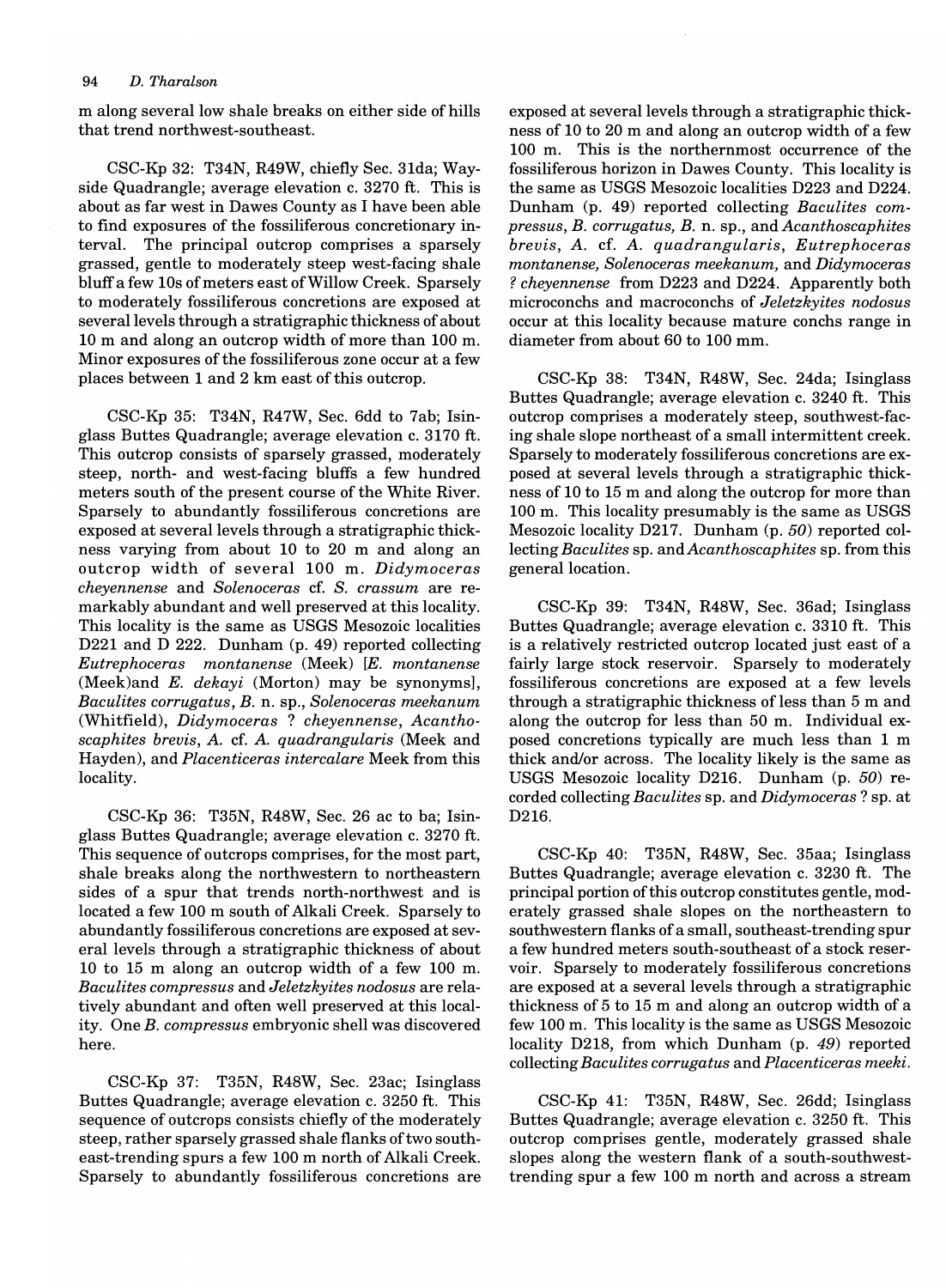#### *94 D. Tharalson*

m along several low shale breaks on either side of hills that trend northwest-southeast.

CSC-Kp 32: T34N, R49W, chiefly Sec. 31da; Wayside Quadrangle; average elevation c. 3270 ft. This is about as far west in Dawes County as I have been able to find exposures of the fossiliferous concretionary interval. The principal outcrop comprises a sparsely grassed, gentle to moderately steep west-facing shale bluff a few lOs of meters east of Willow Creek. Sparsely to moderately fossiliferous concretions are exposed at several levels through a stratigraphic thickness of about 10 m and along an outcrop width of more than 100 m. Minor exposures of the fossiliferous zone occur at a few places between 1 and 2 km east of this outcrop.

CSC-Kp 35: T34N, R47W, Sec. 6dd to 7ab; Isinglass Buttes Quadrangle; average elevation c. 3170 ft. This outcrop consists of sparsely grassed, moderately steep, north- and west-facing bluffs a few hundred meters south of the present course of the White River. Sparsely to abundantly fossiliferous concretions are exposed at several levels through a stratigraphic thickness varying from about 10 to 20 m and along an outcrop width of several 100 m. *Didymoceras cheyennense* and *Solenoceras* cf. S. *crassum* are remarkably abundant and well preserved at this locality. This locality is the same as USGS Mesozoic localities D221 and D 222. Dunham (p. 49) reported collecting *Eutrephoceras montanense* (Meek) *[E. montanense*  (Meek)and *E. dekayi* (Morton) may be synonyms], *Baculites corrugatus,* B. n. sp., *Solenoceras meekanum*  (Whitfield), *Didymoceras* ? *cheyennense, Acanthoscaphites brevis,* A. cf. A. *quadrangularis* (Meek and Hayden), and *Placenticeras intercalare* Meek from this locality.

CSC-Kp 36: T35N, R48W, Sec. 26 ac to ba; Isinglass Buttes Quadrangle; average elevation c. 3270 ft. This sequence of outcrops comprises, for the most part, shale breaks along the northwestern to northeastern sides of a spur that trends north-northwest and is located a few 100 m south of Alkali Creek. Sparsely to abundantly fossiliferous concretions are exposed at several levels through a stratigraphic thickness of about 10 to 15 m along an outcrop width of a few 100 m. *Baculites compressus* and *Jeletzkyites nodosus* are relatively abundant and often well preserved at this locality. One *B. compressus* embryonic shell was discovered here.

CSC-Kp 37: T35N, R48W, Sec. 23ac; Isinglass Buttes Quadrangle; average elevation c. 3250 ft. This sequence of outcrops consists chiefly of the moderately steep, rather sparsely grassed shale flanks of two southeast-trending spurs a few 100 m north of Alkali Creek. Sparsely to abundantly fossiliferous concretions are exposed at several levels through a stratigraphic thickness of 10 to 20 m and along an outcrop width of a few 100 m. This is the northernmost occurrence of the fossiliferous horizon in Dawes County. This locality is the same as USGS Mesozoic localities D223 and D224. Dunham (p. 49) reported collecting *Baculites compressus, B. corrugatus, B.* n. sp., and *Acanthoscaphites brevis, A.* cf. *A. quadrangularis, Eutrephoceras montanense, Solenoceras meekanum,* and *Didymoceras*  ? *cheyennense* from D223 and D224. Apparently both microconchs and macroconchs of *Jeletzkyites nodosus*  occur at this locality because mature conchs range in diameter from about 60 to 100 mm.

CSC-Kp 38: T34N, R48W, Sec. 24da; Isinglass Buttes Quadrangle; average elevation c. 3240 ft. This outcrop comprises a moderately steep, southwest-facing shale slope northeast of a small intermittent creek. Sparsely to moderately fossiliferous concretions are exposed at several levels through a stratigraphic thickness of 10 to 15 m and along the outcrop for more than 100 m. This locality presumably is the same as USGS Mesozoic locality D217. Dunham (p. 50) reported collecting *Baculites* sp. *andAcanthoscaphites* sp. from this general location.

CSC-Kp 39: T34N, R48W, Sec. 36ad; Isinglass Buttes Quadrangle; average elevation c. 3310 ft. This is a relatively restricted outcrop located just east of a fairly large stock reservoir. Sparsely to moderately fossiliferous concretions are exposed at a few levels through a stratigraphic thickness of less than 5 m and along the outcrop for less than 50 m. Individual exposed concretions typically are much less than 1 m thick and/or across. The locality likely is the same as USGS Mesozoic locality D216. Dunham (p. 50) recorded collecting *Baculites* sp. and *Didymoceras* ? sp. at D216.

CSC-Kp 40: T35N, R48W, Sec. 35aa; Isinglass Buttes Quadrangle; average elevation c. 3230 ft. The principal portion of this outcrop constitutes gentle, moderately grassed shale slopes on the northeastern to southwestern flanks of a small, southeast-trending spur a few hundred meters south-southeast of a stock reservoir. Sparsely to moderately fossiliferous concretions are exposed at a several levels through a stratigraphic thickness of 5 to 15 m and along an outcrop width of a few 100 m. This locality is the same as USGS Mesozoic locality D218, from which Dunham (p. 49) reported collecting *Baculites corrugatus* and *Placenticeras meeki.* 

CSC-Kp 41: T35N, R48W, Sec. 26dd; Isinglass Buttes Quadrangle; average elevation c. 3250 ft. This outcrop comprises gentle, moderately grassed shale slopes along the western flank of a south-southwesttrending spur a few 100 m north and across a stream